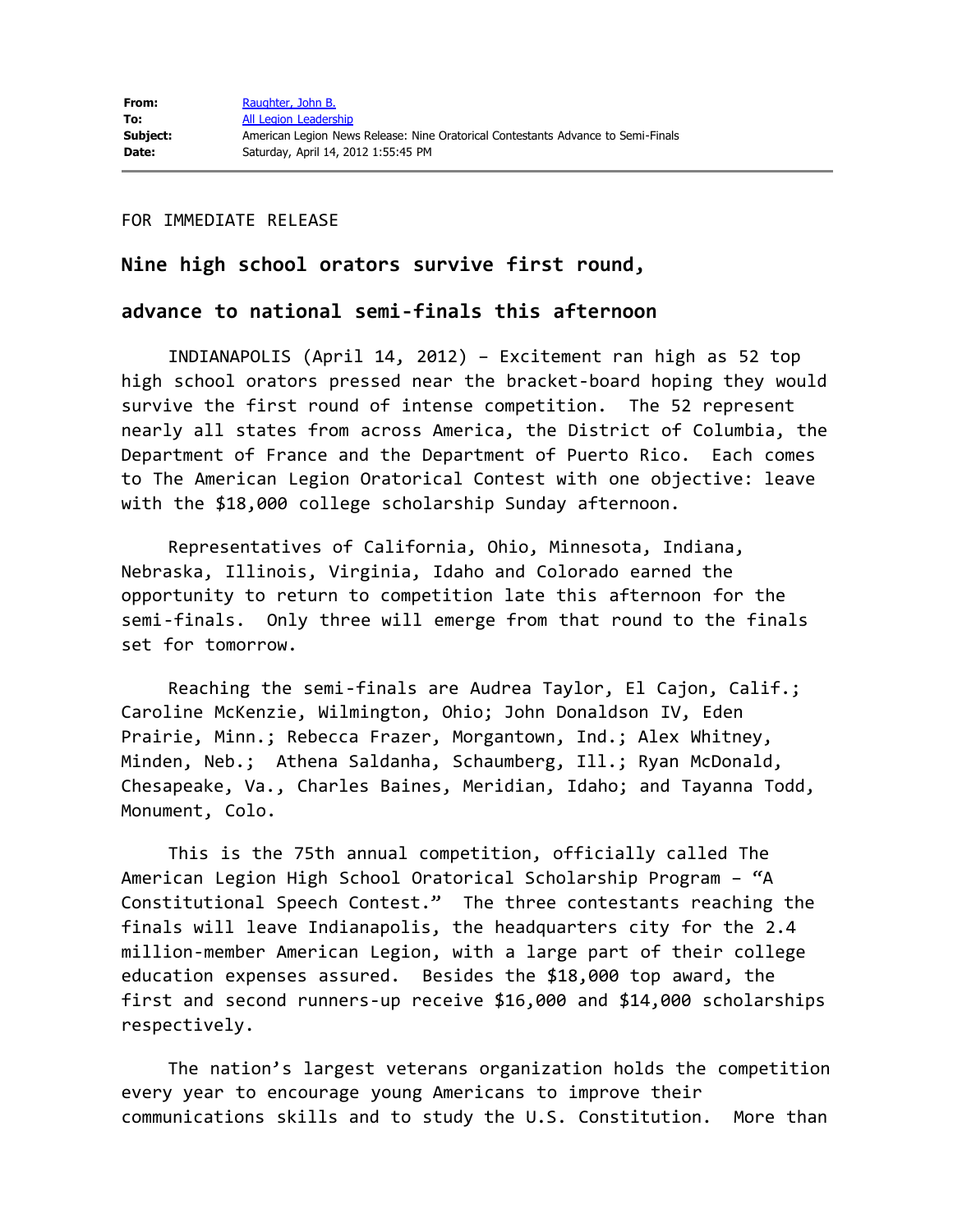FOR IMMEDIATE RELEASE

## **Nine high school orators survive first round,**

## **advance to national semi-finals this afternoon**

 INDIANAPOLIS (April 14, 2012) – Excitement ran high as 52 top high school orators pressed near the bracket-board hoping they would survive the first round of intense competition. The 52 represent nearly all states from across America, the District of Columbia, the Department of France and the Department of Puerto Rico. Each comes to The American Legion Oratorical Contest with one objective: leave with the \$18,000 college scholarship Sunday afternoon.

 Representatives of California, Ohio, Minnesota, Indiana, Nebraska, Illinois, Virginia, Idaho and Colorado earned the opportunity to return to competition late this afternoon for the semi-finals. Only three will emerge from that round to the finals set for tomorrow.

 Reaching the semi-finals are Audrea Taylor, El Cajon, Calif.; Caroline McKenzie, Wilmington, Ohio; John Donaldson IV, Eden Prairie, Minn.; Rebecca Frazer, Morgantown, Ind.; Alex Whitney, Minden, Neb.; Athena Saldanha, Schaumberg, Ill.; Ryan McDonald, Chesapeake, Va., Charles Baines, Meridian, Idaho; and Tayanna Todd, Monument, Colo.

 This is the 75th annual competition, officially called The American Legion High School Oratorical Scholarship Program – "A Constitutional Speech Contest." The three contestants reaching the finals will leave Indianapolis, the headquarters city for the 2.4 million-member American Legion, with a large part of their college education expenses assured. Besides the \$18,000 top award, the first and second runners-up receive \$16,000 and \$14,000 scholarships respectively.

 The nation's largest veterans organization holds the competition every year to encourage young Americans to improve their communications skills and to study the U.S. Constitution. More than